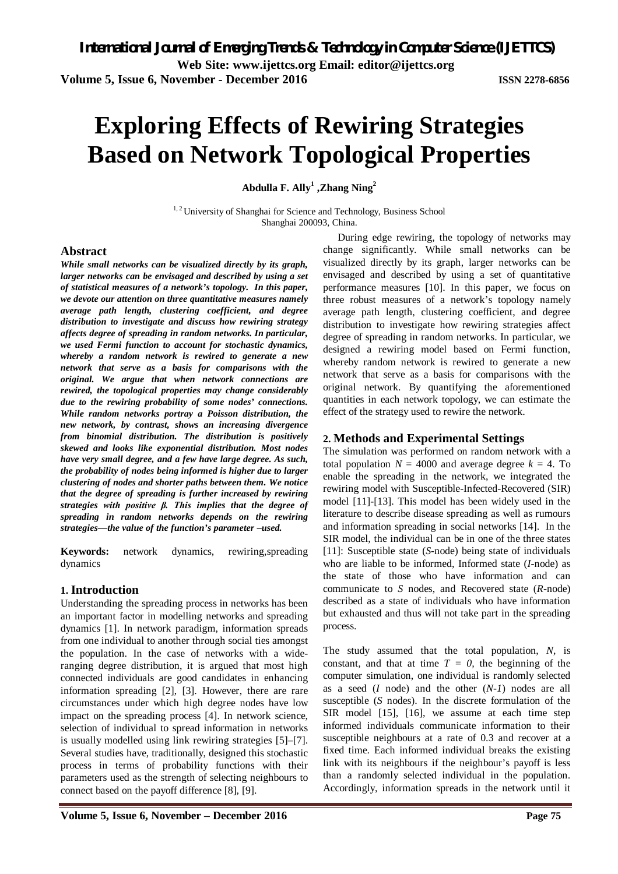**Volume 5, Issue 6, November - December 2016 ISSN 2278-6856**

# **Exploring Effects of Rewiring Strategies Based on Network Topological Properties**

**Abdulla F. Ally<sup>1</sup> ,Zhang Ning<sup>2</sup>**

<sup>1,2</sup> University of Shanghai for Science and Technology, Business School Shanghai 200093, China.

#### **Abstract**

*While small networks can be visualized directly by its graph, larger networks can be envisaged and described by using a set of statistical measures of a network's topology. In this paper, we devote our attention on three quantitative measures namely average path length, clustering coefficient, and degree distribution to investigate and discuss how rewiring strategy affects degree of spreading in random networks. In particular, we used Fermi function to account for stochastic dynamics, whereby a random network is rewired to generate a new network that serve as a basis for comparisons with the original. We argue that when network connections are rewired, the topological properties may change considerably due to the rewiring probability of some nodes' connections. While random networks portray a Poisson distribution, the new network, by contrast, shows an increasing divergence from binomial distribution. The distribution is positively skewed and looks like exponential distribution. Most nodes have very small degree, and a few have large degree. As such, the probability of nodes being informed is higher due to larger clustering of nodes and shorter paths between them. We notice that the degree of spreading is further increased by rewiring strategies with positive β. This implies that the degree of spreading in random networks depends on the rewiring strategies—the value of the function's parameter –used.* 

**Keywords:** network dynamics, rewiring,spreading dynamics

#### **1. Introduction**

Understanding the spreading process in networks has been an important factor in modelling networks and spreading dynamics [1]. In network paradigm, information spreads from one individual to another through social ties amongst the population. In the case of networks with a wideranging degree distribution, it is argued that most high connected individuals are good candidates in enhancing information spreading [2], [3]. However, there are rare circumstances under which high degree nodes have low impact on the spreading process [4]. In network science, selection of individual to spread information in networks is usually modelled using link rewiring strategies [5]–[7]. Several studies have, traditionally, designed this stochastic process in terms of probability functions with their parameters used as the strength of selecting neighbours to connect based on the payoff difference [8], [9].

During edge rewiring, the topology of networks may change significantly. While small networks can be visualized directly by its graph, larger networks can be envisaged and described by using a set of quantitative performance measures [10]. In this paper, we focus on three robust measures of a network's topology namely average path length, clustering coefficient, and degree distribution to investigate how rewiring strategies affect degree of spreading in random networks. In particular, we designed a rewiring model based on Fermi function, whereby random network is rewired to generate a new network that serve as a basis for comparisons with the original network. By quantifying the aforementioned quantities in each network topology, we can estimate the effect of the strategy used to rewire the network.

#### **2. Methods and Experimental Settings**

The simulation was performed on random network with a total population  $N = 4000$  and average degree  $k = 4$ . To enable the spreading in the network, we integrated the rewiring model with Susceptible-Infected-Recovered (SIR) model [11]-[13]. This model has been widely used in the literature to describe disease spreading as well as rumours and information spreading in social networks [14]. In the SIR model, the individual can be in one of the three states [11]: Susceptible state (*S*-node) being state of individuals who are liable to be informed, Informed state (*I*-node) as the state of those who have information and can communicate to *S* nodes, and Recovered state (*R*-node) described as a state of individuals who have information but exhausted and thus will not take part in the spreading process.

The study assumed that the total population, *N,* is constant, and that at time  $T = 0$ , the beginning of the computer simulation, one individual is randomly selected as a seed (*I* node) and the other (*N-1*) nodes are all susceptible (*S* nodes). In the discrete formulation of the SIR model [15], [16], we assume at each time step informed individuals communicate information to their susceptible neighbours at a rate of 0.3 and recover at a fixed time. Each informed individual breaks the existing link with its neighbours if the neighbour's payoff is less than a randomly selected individual in the population. Accordingly, information spreads in the network until it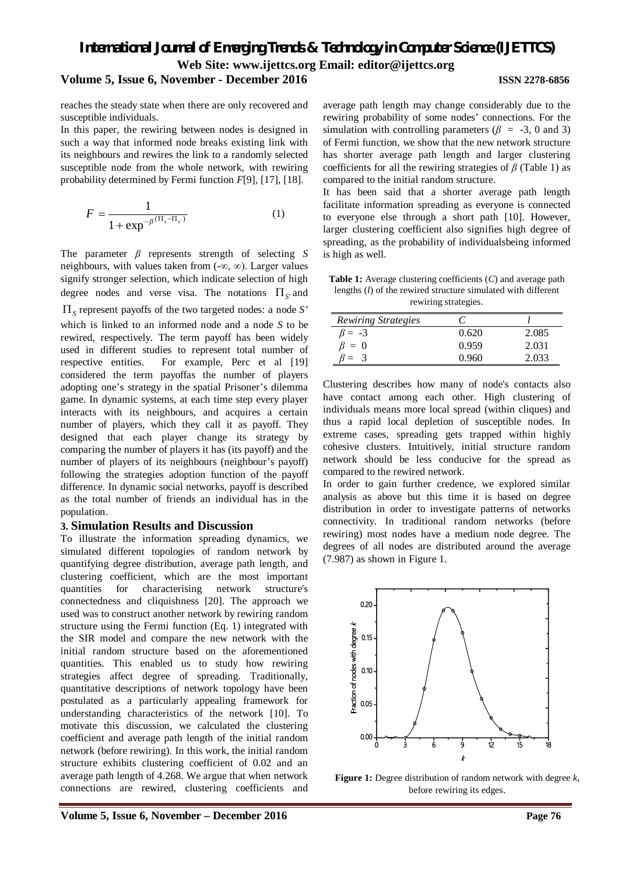## *International Journal of Emerging Trends & Technology in Computer Science (IJETTCS)* **Web Site: www.ijettcs.org Email: editor@ijettcs.org**

### **Volume 5, Issue 6, November - December 2016 ISSN 2278-6856**

reaches the steady state when there are only recovered and susceptible individuals.

In this paper, the rewiring between nodes is designed in such a way that informed node breaks existing link with its neighbours and rewires the link to a randomly selected susceptible node from the whole network, with rewiring probability determined by Fermi function *F*[9], [17], [18].

$$
F = \frac{1}{1 + \exp^{-\beta^{(\Pi_s - \Pi_{s})}}}
$$
(1)

The parameter *β* represents strength of selecting *S* neighbours, with values taken from  $(-\infty, \infty)$ . Larger values signify stronger selection, which indicate selection of high degree nodes and verse visa. The notations  $\Pi_{S}$  and *<sup>S</sup>* represent payoffs of the two targeted nodes: a node *S'* which is linked to an informed node and a node *S* to be rewired, respectively. The term payoff has been widely used in different studies to represent total number of respective entities. For example, Perc et al [19] considered the term payoffas the number of players adopting one's strategy in the spatial Prisoner's dilemma game. In dynamic systems, at each time step every player interacts with its neighbours, and acquires a certain number of players, which they call it as payoff. They designed that each player change its strategy by comparing the number of players it has (its payoff) and the number of players of its neighbours (neighbour's payoff) following the strategies adoption function of the payoff difference. In dynamic social networks, payoff is described as the total number of friends an individual has in the population.

#### **3. Simulation Results and Discussion**

To illustrate the information spreading dynamics, we simulated different topologies of random network by quantifying degree distribution, average path length, and clustering coefficient, which are the most important quantities for characterising network structure's connectedness and cliquishness [20]. The approach we used was to construct another network by rewiring random structure using the Fermi function (Eq. 1) integrated with the SIR model and compare the new network with the initial random structure based on the aforementioned quantities. This enabled us to study how rewiring strategies affect degree of spreading. Traditionally, quantitative descriptions of network topology have been postulated as a particularly appealing framework for understanding characteristics of the network [10]. To motivate this discussion, we calculated the clustering coefficient and average path length of the initial random network (before rewiring). In this work, the initial random structure exhibits clustering coefficient of 0.02 and an average path length of 4.268. We argue that when network connections are rewired, clustering coefficients and

rewiring probability of some nodes' connections. For the simulation with controlling parameters ( $\beta$  = -3, 0 and 3) of Fermi function, we show that the new network structure has shorter average path length and larger clustering coefficients for all the rewiring strategies of *β* (Table 1) as compared to the initial random structure. It has been said that a shorter average path length

facilitate information spreading as everyone is connected to everyone else through a short path [10]. However, larger clustering coefficient also signifies high degree of spreading, as the probability of individualsbeing informed is high as well.

average path length may change considerably due to the

**Table 1:** Average clustering coefficients (*C*) and average path lengths (*l*) of the rewired structure simulated with different rewiring strategies.

| <b>Rewiring Strategies</b> |        |       |
|----------------------------|--------|-------|
| $\beta = -3$               | 0.620  | 2.085 |
| $\beta = 0$                | 0.959  | 2.031 |
|                            | () 960 | 2.033 |

Clustering describes how many of node's contacts also have contact among each other. High clustering of individuals means more local spread (within cliques) and thus a rapid local depletion of susceptible nodes. In extreme cases, spreading gets trapped within highly cohesive clusters. Intuitively, initial structure random network should be less conducive for the spread as compared to the rewired network.

In order to gain further credence, we explored similar analysis as above but this time it is based on degree distribution in order to investigate patterns of networks connectivity. In traditional random networks (before rewiring) most nodes have a medium node degree. The degrees of all nodes are distributed around the average (7.987) as shown in Figure 1.



**Figure 1:** Degree distribution of random network with degree *k*, before rewiring its edges.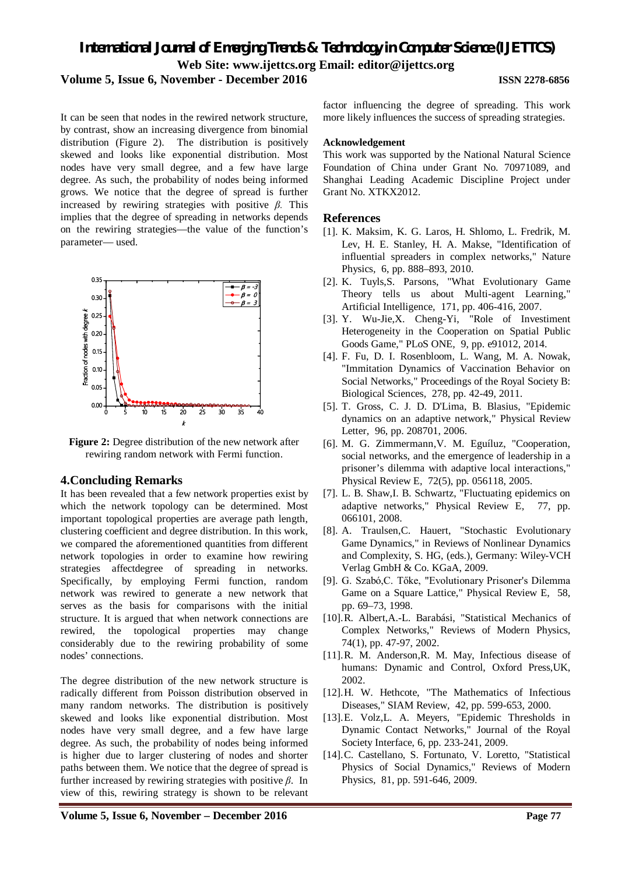### *International Journal of Emerging Trends & Technology in Computer Science (IJETTCS)* **Web Site: www.ijettcs.org Email: editor@ijettcs.org**

#### **Volume 5, Issue 6, November - December 2016 ISSN 2278-6856**

It can be seen that nodes in the rewired network structure, by contrast, show an increasing divergence from binomial distribution (Figure 2). The distribution is positively skewed and looks like exponential distribution. Most nodes have very small degree, and a few have large degree. As such, the probability of nodes being informed grows. We notice that the degree of spread is further increased by rewiring strategies with positive *β.* This implies that the degree of spreading in networks depends on the rewiring strategies—the value of the function's parameter— used.



Figure 2: Degree distribution of the new network after rewiring random network with Fermi function.

#### **4.Concluding Remarks**

It has been revealed that a few network properties exist by which the network topology can be determined. Most important topological properties are average path length, clustering coefficient and degree distribution. In this work, we compared the aforementioned quantities from different network topologies in order to examine how rewiring strategies affectdegree of spreading in networks. Specifically, by employing Fermi function, random network was rewired to generate a new network that serves as the basis for comparisons with the initial structure. It is argued that when network connections are rewired, the topological properties may change considerably due to the rewiring probability of some nodes' connections.

The degree distribution of the new network structure is radically different from Poisson distribution observed in many random networks. The distribution is positively skewed and looks like exponential distribution. Most nodes have very small degree, and a few have large degree. As such, the probability of nodes being informed is higher due to larger clustering of nodes and shorter paths between them. We notice that the degree of spread is further increased by rewiring strategies with positive *β*. In view of this, rewiring strategy is shown to be relevant

factor influencing the degree of spreading. This work more likely influences the success of spreading strategies.

#### **Acknowledgement**

This work was supported by the National Natural Science Foundation of China under Grant No. 70971089, and Shanghai Leading Academic Discipline Project under Grant No. XTKX2012.

#### **References**

- [1]. K. Maksim, K. G. Laros, H. Shlomo, L. Fredrik, M. Lev, H. E. Stanley, H. A. Makse, "Identification of influential spreaders in complex networks," Nature Physics*,* 6, pp. 888–893, 2010.
- [2]. K. Tuyls,S. Parsons, "What Evolutionary Game Theory tells us about Multi-agent Learning," Artificial Intelligence*,* 171, pp. 406-416, 2007.
- [3]. Y. Wu-Jie,X. Cheng-Yi, "Role of Investiment Heterogeneity in the Cooperation on Spatial Public Goods Game," PLoS ONE*,* 9, pp. e91012, 2014.
- [4]. F. Fu, D. I. Rosenbloom, L. Wang, M. A. Nowak, "Immitation Dynamics of Vaccination Behavior on Social Networks," Proceedings of the Royal Society B: Biological Sciences*,* 278, pp. 42-49, 2011.
- [5]. T. Gross, C. J. D. D'Lima, B. Blasius, "Epidemic dynamics on an adaptive network," Physical Review Letter*,* 96, pp. 208701, 2006.
- [6]. M. G. Zimmermann,V. M. Eguíluz, "Cooperation, social networks, and the emergence of leadership in a prisoner's dilemma with adaptive local interactions," Physical Review E*,* 72(5), pp. 056118, 2005.
- [7]. L. B. Shaw,I. B. Schwartz, "Fluctuating epidemics on adaptive networks," Physical Review E*,* 77, pp. 066101, 2008.
- [8]. A. Traulsen,C. Hauert, "Stochastic Evolutionary Game Dynamics," in Reviews of Nonlinear Dynamics and Complexity, S. HG, (eds.), Germany: Wiley-VCH Verlag GmbH & Co. KGaA, 2009.
- [9]. G. Szabó,C. Tőke, "Evolutionary Prisoner's Dilemma Game on a Square Lattice," Physical Review E*,* 58, pp. 69–73, 1998.
- [10].R. Albert,A.-L. Barabási, "Statistical Mechanics of Complex Networks," Reviews of Modern Physics*,*  74(1), pp. 47-97, 2002.
- [11].R. M. Anderson,R. M. May, Infectious disease of humans: Dynamic and Control, Oxford Press,UK, 2002.
- [12].H. W. Hethcote, "The Mathematics of Infectious Diseases," SIAM Review*,* 42, pp. 599-653, 2000.
- [13].E. Volz,L. A. Meyers, "Epidemic Thresholds in Dynamic Contact Networks," Journal of the Royal Society Interface, 6, pp. 233-241, 2009.
- [14].C. Castellano, S. Fortunato, V. Loretto, "Statistical Physics of Social Dynamics," Reviews of Modern Physics*,* 81, pp. 591-646, 2009.